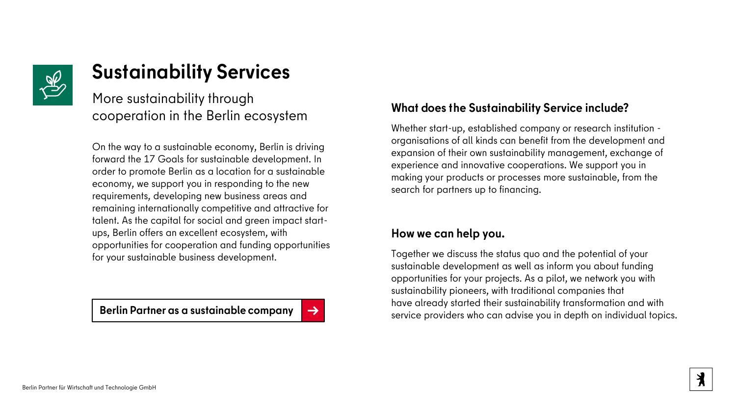

## **Sustainability Services**

More sustainability through cooperation in the Berlin ecosystem

On the way to a sustainable economy, Berlin is driving forward the 17 Goals for sustainable development. In order to promote Berlin as a location for a sustainable economy, we support you in responding to the new requirements, developing new business areas and remaining internationally competitive and attractive for talent. As the capital for social and green impact startups, Berlin offers an excellent ecosystem, with opportunities for cooperation and funding opportunities for your sustainable business development.

## **What does the Sustainability Service include?**

Whether start-up, established company or research institution organisations of all kinds can benefit from the development and expansion of their own sustainability management, exchange of experience and innovative cooperations. We support you in making your products or processes more sustainable, from the search for partners up to financing.

## **How we can help you.**

Together we discuss the status quo and the potential of your sustainable development as well as inform you about funding opportunities for your projects. As a pilot, we network you with sustainability pioneers, with traditional companies that have already started their sustainability transformation and with **Serlin Partner as a sustainable company** [→](http://www.berlin-partner.de/nachhaltigkeit)<br>service providers who can advise you in depth on individual topics.